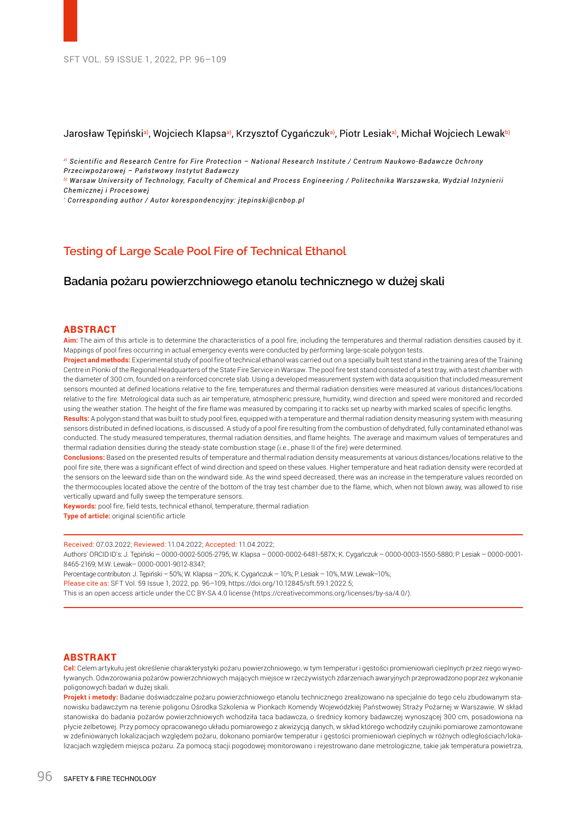# Jarosław Tępiński<sup>a)</sup>, Wojciech Klapsa<sup>a)</sup>, Krzysztof Cygańczuk<sup>a)</sup>, Piotr Lesiak<sup>a)</sup>, Michał Wojciech Lewak<sup>b)</sup>

*a) Scientific and Research Centre for Fire Protection – National Research Institute / Centrum Naukowo-Badawcze Ochrony Przeciwpożarowej – Państwowy Instytut Badawczy*

*b) Warsaw University of Technology, Faculty of Chemical and Process Engineering / Politechnika Warszawska, Wydział Inżynierii Chemicznej i Procesowej*

*\* Corresponding author / Autor korespondencyjny: jtepinski@cnbop.pl*

# **Testing of Large Scale Pool Fire of Technical Ethanol**

# **Badania pożaru powierzchniowego etanolu technicznego w dużej skali**

### ABSTRACT

**Aim:** The aim of this article is to determine the characteristics of a pool fire, including the temperatures and thermal radiation densities caused by it. Mappings of pool fires occurring in actual emergency events were conducted by performing large-scale polygon tests.

**Project and methods:** Experimental study of pool fire of technical ethanol was carried out on a specially built test stand in the training area of the Training Centre in Pionki of the Regional Headquarters of the State Fire Service in Warsaw. The pool fire test stand consisted of a test tray, with a test chamber with the diameter of 300 cm, founded on a reinforced concrete slab. Using a developed measurement system with data acquisition that included measurement sensors mounted at defined locations relative to the fire, temperatures and thermal radiation densities were measured at various distances/locations relative to the fire. Metrological data such as air temperature, atmospheric pressure, humidity, wind direction and speed were monitored and recorded using the weather station. The height of the fire flame was measured by comparing it to racks set up nearby with marked scales of specific lengths.

**Results:** A polygon stand that was built to study pool fires, equipped with a temperature and thermal radiation density measuring system with measuring sensors distributed in defined locations, is discussed. A study of a pool fire resulting from the combustion of dehydrated, fully contaminated ethanol was conducted. The study measured temperatures, thermal radiation densities, and flame heights. The average and maximum values of temperatures and thermal radiation densities during the steady-state combustion stage (i.e., phase II of the fire) were determined.

**Conclusions:** Based on the presented results of temperature and thermal radiation density measurements at various distances/locations relative to the pool fire site, there was a significant effect of wind direction and speed on these values. Higher temperature and heat radiation density were recorded at the sensors on the leeward side than on the windward side. As the wind speed decreased, there was an increase in the temperature values recorded on the thermocouples located above the centre of the bottom of the tray test chamber due to the flame, which, when not blown away, was allowed to rise vertically upward and fully sweep the temperature sensors.

**Keywords:** pool fire, field tests, technical ethanol, temperature, thermal radiation

**Type of article:** original scientific article

Received: 07.03.2022; Reviewed: 11.04.2022; Accepted: 11.04.2022;

Authors` ORCID ID`s: J. Tępiński – 0000-0002-5005-2795; W. Klapsa – 0000-0002-6481-587X; K. Cygańczuk – 0000-0003-1550-5880; P. Lesiak – 0000-0001- 8465-2169; M.W. Lewak– 0000-0001-9012-8347;

Percentage contributon: J. Tępiński – 50%; W. Klapsa – 20%; K. Cygańczuk – 10%; P. Lesiak – 10%, M.W. Lewak–10%;

Please cite as: SFT Vol. 59 Issue 1, 2022, pp. 96–109, https://doi.org/10.12845/sft.59.1.2022.5;

This is an open access article under the CC BY-SA 4.0 license (https://creativecommons.org/licenses/by-sa/4.0/).

## ABSTRAKT

**Cel:** Celem artykułu jest określenie charakterystyki pożaru powierzchniowego, w tym temperatur i gęstości promieniowań cieplnych przez niego wywoływanych. Odwzorowania pożarów powierzchniowych mających miejsce w rzeczywistych zdarzeniach awaryjnych przeprowadzono poprzez wykonanie poligonowych badań w dużej skali.

**Projekt i metody:** Badanie doświadczalne pożaru powierzchniowego etanolu technicznego zrealizowano na specjalnie do tego celu zbudowanym stanowisku badawczym na terenie poligonu Ośrodka Szkolenia w Pionkach Komendy Wojewódzkiej Państwowej Straży Pożarnej w Warszawie. W skład stanowiska do badania pożarów powierzchniowych wchodziła taca badawcza, o średnicy komory badawczej wynoszącej 300 cm, posadowiona na płycie żelbetowej. Przy pomocy opracowanego układu pomiarowego z akwizycją danych, w skład którego wchodziły czujniki pomiarowe zamontowane w zdefiniowanych lokalizacjach względem pożaru, dokonano pomiarów temperatur i gęstości promieniowań cieplnych w różnych odległościach/lokalizacjach względem miejsca pożaru. Za pomocą stacji pogodowej monitorowano i rejestrowano dane metrologiczne, takie jak temperatura powietrza,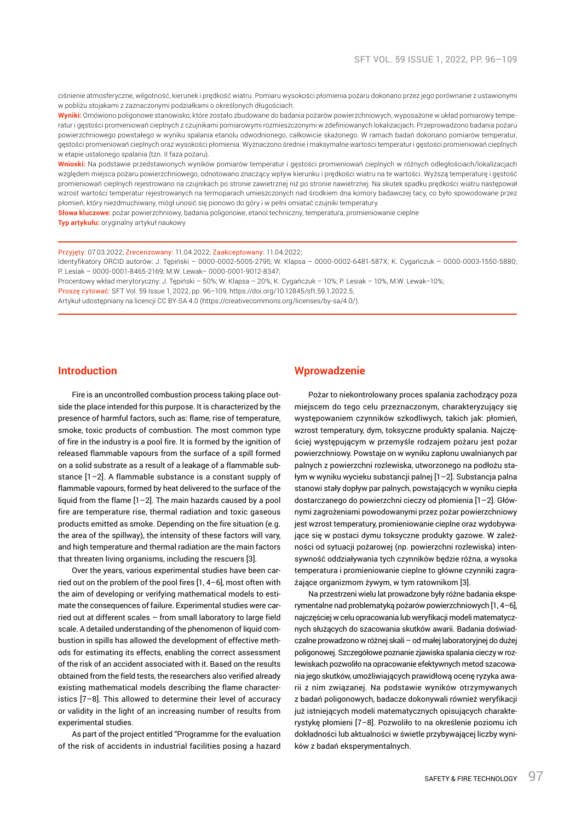ciśnienie atmosferyczne, wilgotność, kierunek i prędkość wiatru. Pomiaru wysokości płomienia pożaru dokonano przez jego porównanie z ustawionymi w pobliżu stojakami z zaznaczonymi podziałkami o określonych długościach.

**Wyniki:** Omówiono poligonowe stanowisko, które zostało zbudowane do badania pożarów powierzchniowych, wyposażone w układ pomiarowy temperatur i gęstości promieniowań cieplnych z czujnikami pomiarowymi rozmieszczonymi w zdefiniowanych lokalizacjach. Przeprowadzono badania pożaru powierzchniowego powstałego w wyniku spalania etanolu odwodnionego, całkowicie skażonego. W ramach badań dokonano pomiarów temperatur, gęstości promieniowań cieplnych oraz wysokości płomienia. Wyznaczono średnie i maksymalne wartości temperatur i gęstości promieniowań cieplnych w etapie ustalonego spalania (tzn. II faza pożaru).

**Wnioski:** Na podstawie przedstawionych wyników pomiarów temperatur i gęstości promieniowań cieplnych w różnych odległościach/lokalizacjach względem miejsca pożaru powierzchniowego, odnotowano znaczący wpływ kierunku i prędkości wiatru na te wartości. Wyższą temperaturę i gęstość promieniowań cieplnych rejestrowano na czujnikach po stronie zawietrznej niż po stronie nawietrznej. Na skutek spadku prędkości wiatru następował wzrost wartości temperatur rejestrowanych na termoparach umieszczonych nad środkiem dna komory badawczej tacy, co było spowodowane przez płomień, który niezdmuchiwany, mógł unosić się pionowo do góry i w pełni omiatać czujniki temperatury.

**Słowa kluczowe:** pożar powierzchniowy, badania poligonowe, etanol techniczny, temperatura, promieniowanie cieplne **Typ artykułu:** oryginalny artykuł naukowy

Przyjęty: 07.03.2022; Zrecenzowany: 11.04.2022; Zaakceptowany: 11.04.2022;

Identyfikatory ORCID autorów: J. Tępiński – 0000-0002-5005-2795; W. Klapsa – 0000-0002-6481-587X; K. Cygańczuk – 0000-0003-1550-5880; P. Lesiak – 0000-0001-8465-2169; M.W. Lewak– 0000-0001-9012-8347;

Procentowy wkład merytoryczny: J. Tępiński – 50%; W. Klapsa – 20%; K. Cygańczuk – 10%; P. Lesiak – 10%, M.W. Lewak–10%;

Proszę cytować: SFT Vol. 59 Issue 1, 2022, pp. 96–109, https://doi.org/10.12845/sft.59.1.2022.5;

Artykuł udostępniany na licencji CC BY-SA 4.0 (https://creativecommons.org/licenses/by-sa/4.0/).

# **Introduction**

Fire is an uncontrolled combustion process taking place outside the place intended for this purpose. It is characterized by the presence of harmful factors, such as: flame, rise of temperature, smoke, toxic products of combustion. The most common type of fire in the industry is a pool fire. It is formed by the ignition of released flammable vapours from the surface of a spill formed on a solid substrate as a result of a leakage of a flammable substance [1–2]. A flammable substance is a constant supply of flammable vapours, formed by heat delivered to the surface of the liquid from the flame [1–2]. The main hazards caused by a pool fire are temperature rise, thermal radiation and toxic gaseous products emitted as smoke. Depending on the fire situation (e.g. the area of the spillway), the intensity of these factors will vary, and high temperature and thermal radiation are the main factors that threaten living organisms, including the rescuers [3].

Over the years, various experimental studies have been carried out on the problem of the pool fires [1, 4–6], most often with the aim of developing or verifying mathematical models to estimate the consequences of failure. Experimental studies were carried out at different scales – from small laboratory to large field scale. A detailed understanding of the phenomenon of liquid combustion in spills has allowed the development of effective methods for estimating its effects, enabling the correct assessment of the risk of an accident associated with it. Based on the results obtained from the field tests, the researchers also verified already existing mathematical models describing the flame characteristics [7–8]. This allowed to determine their level of accuracy or validity in the light of an increasing number of results from experimental studies.

As part of the project entitled "Programme for the evaluation of the risk of accidents in industrial facilities posing a hazard

## **Wprowadzenie**

Pożar to niekontrolowany proces spalania zachodzący poza miejscem do tego celu przeznaczonym, charakteryzujący się występowaniem czynników szkodliwych, takich jak: płomień, wzrost temperatury, dym, toksyczne produkty spalania. Najczęściej występującym w przemyśle rodzajem pożaru jest pożar powierzchniowy. Powstaje on w wyniku zapłonu uwalnianych par palnych z powierzchni rozlewiska, utworzonego na podłożu stałym w wyniku wycieku substancji palnej [1–2]. Substancja palna stanowi stały dopływ par palnych, powstających w wyniku ciepła dostarczanego do powierzchni cieczy od płomienia [1–2]. Głównymi zagrożeniami powodowanymi przez pożar powierzchniowy jest wzrost temperatury, promieniowanie cieplne oraz wydobywające się w postaci dymu toksyczne produkty gazowe. W zależności od sytuacji pożarowej (np. powierzchni rozlewiska) intensywność oddziaływania tych czynników będzie różna, a wysoka temperatura i promieniowanie cieplne to główne czynniki zagrażające organizmom żywym, w tym ratownikom [3].

Na przestrzeni wielu lat prowadzone były różne badania eksperymentalne nad problematyką pożarów powierzchniowych [1, 4–6], najczęściej w celu opracowania lub weryfikacji modeli matematycznych służących do szacowania skutków awarii. Badania doświadczalne prowadzono w różnej skali – od małej laboratoryjnej do dużej poligonowej. Szczegółowe poznanie zjawiska spalania cieczy w rozlewiskach pozwoliło na opracowanie efektywnych metod szacowania jego skutków, umożliwiających prawidłową ocenę ryzyka awarii z nim związanej. Na podstawie wyników otrzymywanych z badań poligonowych, badacze dokonywali również weryfikacji już istniejących modeli matematycznych opisujących charakterystykę płomieni [7–8]. Pozwoliło to na określenie poziomu ich dokładności lub aktualności w świetle przybywającej liczby wyników z badań eksperymentalnych.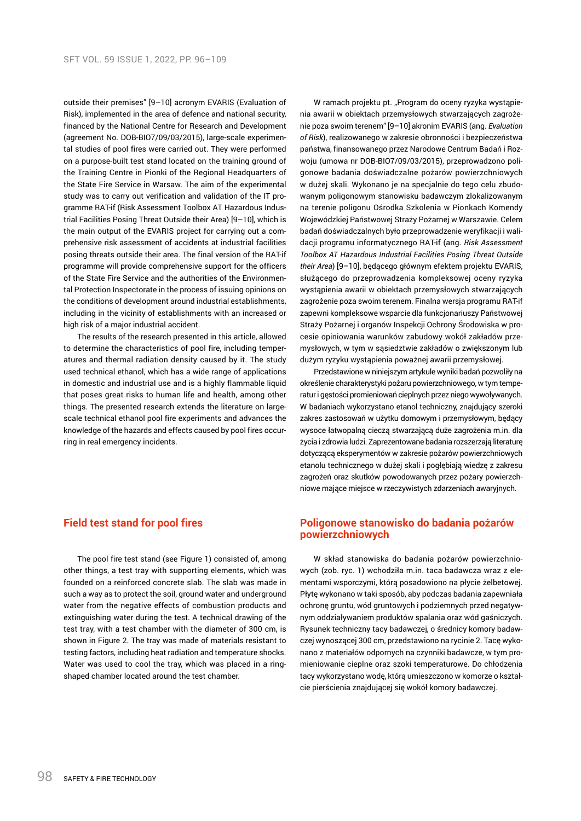outside their premises" [9–10] acronym EVARIS (Evaluation of Risk), implemented in the area of defence and national security, financed by the National Centre for Research and Development (agreement No. DOB-BIO7/09/03/2015), large-scale experimental studies of pool fires were carried out. They were performed on a purpose-built test stand located on the training ground of the Training Centre in Pionki of the Regional Headquarters of the State Fire Service in Warsaw. The aim of the experimental study was to carry out verification and validation of the IT programme RAT-if (Risk Assessment Toolbox AT Hazardous Industrial Facilities Posing Threat Outside their Area) [9–10], which is the main output of the EVARIS project for carrying out a comprehensive risk assessment of accidents at industrial facilities posing threats outside their area. The final version of the RAT-if programme will provide comprehensive support for the officers of the State Fire Service and the authorities of the Environmental Protection Inspectorate in the process of issuing opinions on the conditions of development around industrial establishments, including in the vicinity of establishments with an increased or high risk of a major industrial accident.

The results of the research presented in this article, allowed to determine the characteristics of pool fire, including temperatures and thermal radiation density caused by it. The study used technical ethanol, which has a wide range of applications in domestic and industrial use and is a highly flammable liquid that poses great risks to human life and health, among other things. The presented research extends the literature on largescale technical ethanol pool fire experiments and advances the knowledge of the hazards and effects caused by pool fires occurring in real emergency incidents.

# **Field test stand for pool fires**

The pool fire test stand (see Figure 1) consisted of, among other things, a test tray with supporting elements, which was founded on a reinforced concrete slab. The slab was made in such a way as to protect the soil, ground water and underground water from the negative effects of combustion products and extinguishing water during the test. A technical drawing of the test tray, with a test chamber with the diameter of 300 cm, is shown in Figure 2. The tray was made of materials resistant to testing factors, including heat radiation and temperature shocks. Water was used to cool the tray, which was placed in a ringshaped chamber located around the test chamber.

W ramach projektu pt. "Program do oceny ryzyka wystąpienia awarii w obiektach przemysłowych stwarzających zagrożenie poza swoim terenem" [9–10] akronim EVARIS (ang. *Evaluation of Risk*), realizowanego w zakresie obronności i bezpieczeństwa państwa, finansowanego przez Narodowe Centrum Badań i Rozwoju (umowa nr DOB-BIO7/09/03/2015), przeprowadzono poligonowe badania doświadczalne pożarów powierzchniowych w dużej skali. Wykonano je na specjalnie do tego celu zbudowanym poligonowym stanowisku badawczym zlokalizowanym na terenie poligonu Ośrodka Szkolenia w Pionkach Komendy Wojewódzkiej Państwowej Straży Pożarnej w Warszawie. Celem badań doświadczalnych było przeprowadzenie weryfikacji i walidacji programu informatycznego RAT-if (ang. *Risk Assessment Toolbox AT Hazardous Industrial Facilities Posing Threat Outside their Area*) [9–10], będącego głównym efektem projektu EVARIS, służącego do przeprowadzenia kompleksowej oceny ryzyka wystąpienia awarii w obiektach przemysłowych stwarzających zagrożenie poza swoim terenem. Finalna wersja programu RAT-if zapewni kompleksowe wsparcie dla funkcjonariuszy Państwowej Straży Pożarnej i organów Inspekcji Ochrony Środowiska w procesie opiniowania warunków zabudowy wokół zakładów przemysłowych, w tym w sąsiedztwie zakładów o zwiększonym lub dużym ryzyku wystąpienia poważnej awarii przemysłowej.

Przedstawione w niniejszym artykule wyniki badań pozwoliły na określenie charakterystyki pożaru powierzchniowego, w tym temperatur i gęstości promieniowań cieplnych przez niego wywoływanych. W badaniach wykorzystano etanol techniczny, znajdujący szeroki zakres zastosowań w użytku domowym i przemysłowym, będący wysoce łatwopalną cieczą stwarzającą duże zagrożenia m.in. dla życia i zdrowia ludzi. Zaprezentowane badania rozszerzają literaturę dotyczącą eksperymentów w zakresie pożarów powierzchniowych etanolu technicznego w dużej skali i pogłębiają wiedzę z zakresu zagrożeń oraz skutków powodowanych przez pożary powierzchniowe mające miejsce w rzeczywistych zdarzeniach awaryjnych.

# **Poligonowe stanowisko do badania pożarów powierzchniowych**

W skład stanowiska do badania pożarów powierzchniowych (zob. ryc. 1) wchodziła m.in. taca badawcza wraz z elementami wsporczymi, którą posadowiono na płycie żelbetowej. Płytę wykonano w taki sposób, aby podczas badania zapewniała ochronę gruntu, wód gruntowych i podziemnych przed negatywnym oddziaływaniem produktów spalania oraz wód gaśniczych. Rysunek techniczny tacy badawczej, o średnicy komory badawczej wynoszącej 300 cm, przedstawiono na rycinie 2. Tacę wykonano z materiałów odpornych na czynniki badawcze, w tym promieniowanie cieplne oraz szoki temperaturowe. Do chłodzenia tacy wykorzystano wodę, którą umieszczono w komorze o kształcie pierścienia znajdującej się wokół komory badawczej.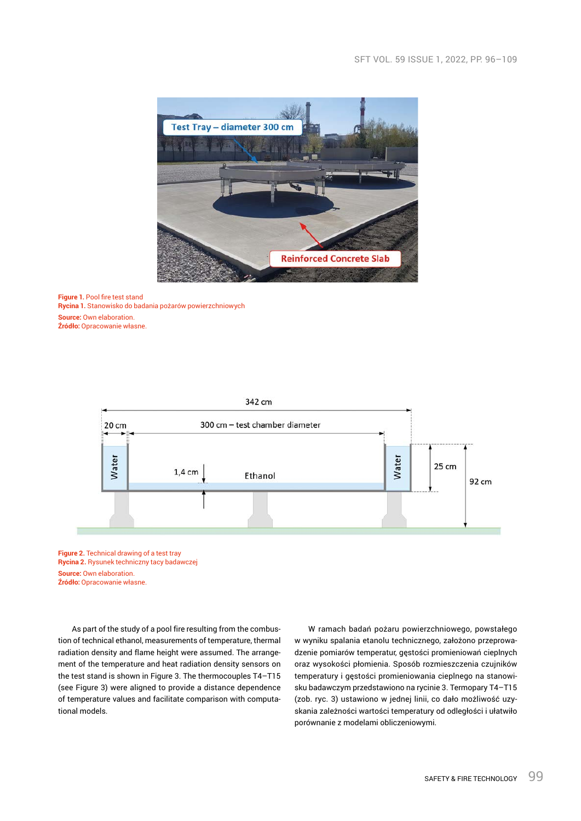

**Figure 1.** Pool fire test stand **Rycina 1.** Stanowisko do badania pożarów powierzchniowych **Source:** Own elaboration. **Źródło:** Opracowanie własne.



**Figure 2.** Technical drawing of a test tray **Rycina 2.** Rysunek techniczny tacy badawczej **Source:** Own elaboration. **Źródło:** Opracowanie własne.

As part of the study of a pool fire resulting from the combustion of technical ethanol, measurements of temperature, thermal radiation density and flame height were assumed. The arrangement of the temperature and heat radiation density sensors on the test stand is shown in Figure 3. The thermocouples T4–T15 (see Figure 3) were aligned to provide a distance dependence of temperature values and facilitate comparison with computational models.

W ramach badań pożaru powierzchniowego, powstałego w wyniku spalania etanolu technicznego, założono przeprowadzenie pomiarów temperatur, gęstości promieniowań cieplnych oraz wysokości płomienia. Sposób rozmieszczenia czujników temperatury i gęstości promieniowania cieplnego na stanowisku badawczym przedstawiono na rycinie 3. Termopary T4–T15 (zob. ryc. 3) ustawiono w jednej linii, co dało możliwość uzyskania zależności wartości temperatury od odległości i ułatwiło porównanie z modelami obliczeniowymi.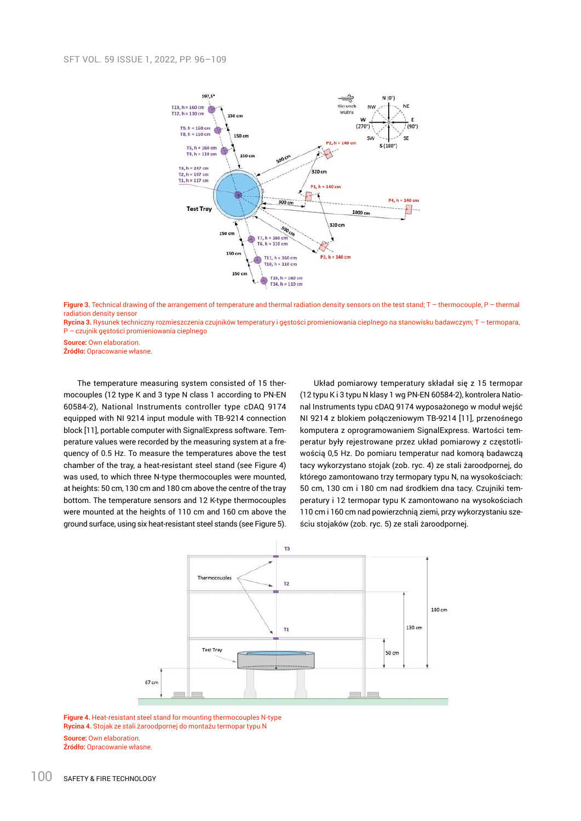

Figure 3. Technical drawing of the arrangement of temperature and thermal radiation density sensors on the test stand; T – thermocouple, P – thermal radiation density sensor

**Rycina 3.** Rysunek techniczny rozmieszczenia czujników temperatury i gęstości promieniowania cieplnego na stanowisku badawczym; T – termopara, P – czujnik gęstości promieniowania cieplnego

**Source:** Own elaboration.

**Źródło:** Opracowanie własne.

The temperature measuring system consisted of 15 thermocouples (12 type K and 3 type N class 1 according to PN-EN 60584-2), National Instruments controller type cDAQ 9174 equipped with NI 9214 input module with TB-9214 connection block [11], portable computer with SignalExpress software. Temperature values were recorded by the measuring system at a frequency of 0.5 Hz. To measure the temperatures above the test chamber of the tray, a heat-resistant steel stand (see Figure 4) was used, to which three N-type thermocouples were mounted, at heights: 50 cm, 130 cm and 180 cm above the centre of the tray bottom. The temperature sensors and 12 K-type thermocouples were mounted at the heights of 110 cm and 160 cm above the ground surface, using six heat-resistant steel stands (see Figure 5).

Układ pomiarowy temperatury składał się z 15 termopar (12 typu K i 3 typu N klasy 1 wg PN-EN 60584-2), kontrolera National Instruments typu cDAQ 9174 wyposażonego w moduł wejść NI 9214 z blokiem połączeniowym TB-9214 [11], przenośnego komputera z oprogramowaniem SignalExpress. Wartości temperatur były rejestrowane przez układ pomiarowy z częstotliwością 0,5 Hz. Do pomiaru temperatur nad komorą badawczą tacy wykorzystano stojak (zob. ryc. 4) ze stali żaroodpornej, do którego zamontowano trzy termopary typu N, na wysokościach: 50 cm, 130 cm i 180 cm nad środkiem dna tacy. Czujniki temperatury i 12 termopar typu K zamontowano na wysokościach 110 cm i 160 cm nad powierzchnią ziemi, przy wykorzystaniu sześciu stojaków (zob. ryc. 5) ze stali żaroodpornej.



**Figure 4.** Heat-resistant steel stand for mounting thermocouples N-type **Rycina 4.** Stojak ze stali żaroodpornej do montażu termopar typu N **Source:** Own elaboration. **Źródło:** Opracowanie własne.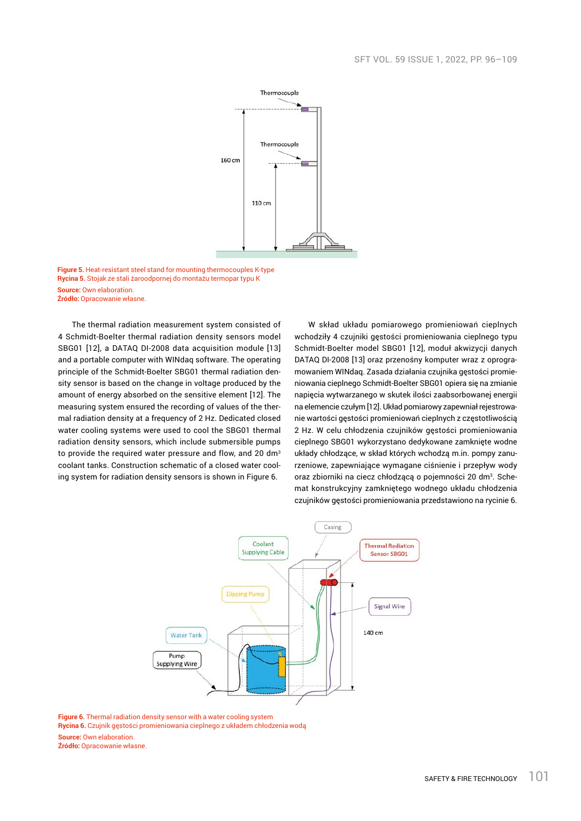

**Figure 5.** Heat-resistant steel stand for mounting thermocouples K-type **Rycina 5.** Stojak ze stali żaroodpornej do montażu termopar typu K **Source:** Own elaboration. **Źródło:** Opracowanie własne.

The thermal radiation measurement system consisted of 4 Schmidt-Boelter thermal radiation density sensors model SBG01 [12], a DATAQ DI-2008 data acquisition module [13] and a portable computer with WINdaq software. The operating principle of the Schmidt-Boelter SBG01 thermal radiation density sensor is based on the change in voltage produced by the amount of energy absorbed on the sensitive element [12]. The measuring system ensured the recording of values of the thermal radiation density at a frequency of 2 Hz. Dedicated closed water cooling systems were used to cool the SBG01 thermal radiation density sensors, which include submersible pumps to provide the required water pressure and flow, and 20 dm<sup>3</sup> coolant tanks. Construction schematic of a closed water cooling system for radiation density sensors is shown in Figure 6.

W skład układu pomiarowego promieniowań cieplnych wchodziły 4 czujniki gęstości promieniowania cieplnego typu Schmidt-Boelter model SBG01 [12], moduł akwizycji danych DATAQ DI-2008 [13] oraz przenośny komputer wraz z oprogramowaniem WINdaq. Zasada działania czujnika gęstości promieniowania cieplnego Schmidt-Boelter SBG01 opiera się na zmianie napięcia wytwarzanego w skutek ilości zaabsorbowanej energii na elemencie czułym [12]. Układ pomiarowy zapewniał rejestrowanie wartości gęstości promieniowań cieplnych z częstotliwością 2 Hz. W celu chłodzenia czujników gęstości promieniowania cieplnego SBG01 wykorzystano dedykowane zamknięte wodne układy chłodzące, w skład których wchodzą m.in. pompy zanurzeniowe, zapewniające wymagane ciśnienie i przepływ wody oraz zbiorniki na ciecz chłodzącą o pojemności 20 dm<sup>3</sup>. Schemat konstrukcyjny zamkniętego wodnego układu chłodzenia czujników gęstości promieniowania przedstawiono na rycinie 6.



**Figure 6.** Thermal radiation density sensor with a water cooling system

**Rycina 6.** Czujnik gęstości promieniowania cieplnego z układem chłodzenia wodą

**Źródło:** Opracowanie własne.

**Source:** Own elaboration.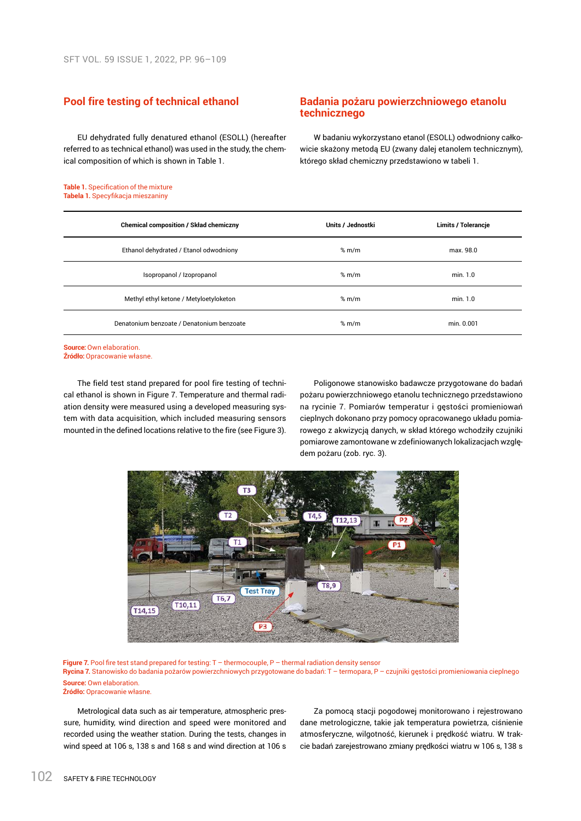# **Pool fire testing of technical ethanol**

EU dehydrated fully denatured ethanol (ESOLL) (hereafter referred to as technical ethanol) was used in the study, the chemical composition of which is shown in Table 1.

#### **Table 1.** Specification of the mixture **Tabela 1.** Specyfikacja mieszaniny

# **Badania pożaru powierzchniowego etanolu technicznego**

W badaniu wykorzystano etanol (ESOLL) odwodniony całkowicie skażony metodą EU (zwany dalej etanolem technicznym), którego skład chemiczny przedstawiono w tabeli 1.

| <b>Chemical composition / Skład chemiczny</b> | Units / Jednostki | <b>Limits / Tolerancje</b> |
|-----------------------------------------------|-------------------|----------------------------|
| Ethanol dehydrated / Etanol odwodniony        | % m/m             | max. 98.0                  |
| Isopropanol / Izopropanol                     | % m/m             | min. 1.0                   |
| Methyl ethyl ketone / Metyloetyloketon        | % m/m             | min. 1.0                   |
| Denatonium benzoate / Denatonium benzoate     | % m/m             | min. 0.001                 |

**Source: Own elaboration. Źródło:** Opracowanie własne.

The field test stand prepared for pool fire testing of technical ethanol is shown in Figure 7. Temperature and thermal radiation density were measured using a developed measuring system with data acquisition, which included measuring sensors mounted in the defined locations relative to the fire (see Figure 3).

Poligonowe stanowisko badawcze przygotowane do badań pożaru powierzchniowego etanolu technicznego przedstawiono na rycinie 7. Pomiarów temperatur i gęstości promieniowań cieplnych dokonano przy pomocy opracowanego układu pomiarowego z akwizycją danych, w skład którego wchodziły czujniki pomiarowe zamontowane w zdefiniowanych lokalizacjach względem pożaru (zob. ryc. 3).



**Figure 7.** Pool fire test stand prepared for testing: T – thermocouple, P – thermal radiation density sensor **Rycina 7.** Stanowisko do badania pożarów powierzchniowych przygotowane do badań: T – termopara, P – czujniki gęstości promieniowania cieplnego **Source:** Own elaboration. **Źródło:** Opracowanie własne.

Metrological data such as air temperature, atmospheric pressure, humidity, wind direction and speed were monitored and recorded using the weather station. During the tests, changes in wind speed at 106 s, 138 s and 168 s and wind direction at 106 s

Za pomocą stacji pogodowej monitorowano i rejestrowano dane metrologiczne, takie jak temperatura powietrza, ciśnienie atmosferyczne, wilgotność, kierunek i prędkość wiatru. W trakcie badań zarejestrowano zmiany prędkości wiatru w 106 s, 138 s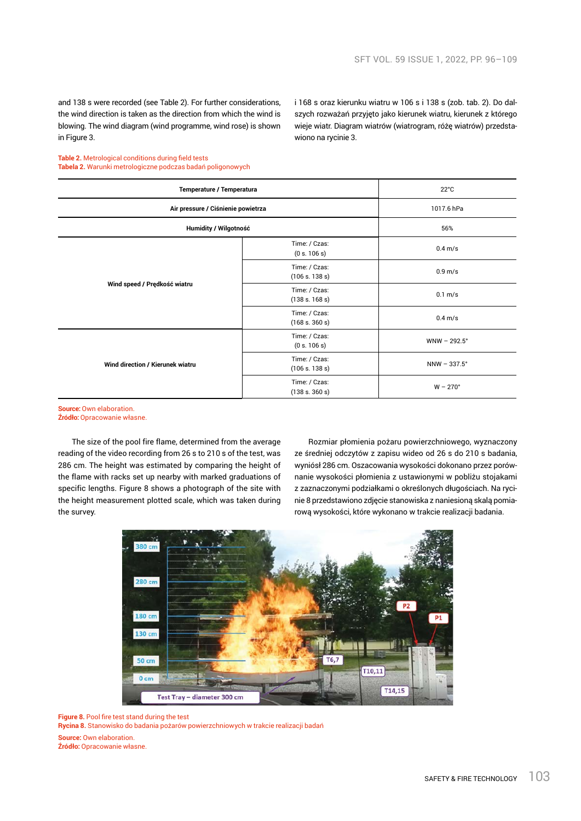and 138 s were recorded (see Table 2). For further considerations, the wind direction is taken as the direction from which the wind is blowing. The wind diagram (wind programme, wind rose) is shown in Figure 3.

szych rozważań przyjęto jako kierunek wiatru, kierunek z którego wieje wiatr. Diagram wiatrów (wiatrogram, różę wiatrów) przedstawiono na rycinie 3.

i 168 s oraz kierunku wiatru w 106 s i 138 s (zob. tab. 2). Do dal-

#### **Table 2.** Metrological conditions during field tests **Tabela 2.** Warunki metrologiczne podczas badań poligonowych

| Temperature / Temperatura          |                                 | $22^{\circ}$ C      |
|------------------------------------|---------------------------------|---------------------|
| Air pressure / Ciśnienie powietrza |                                 | 1017.6 hPa          |
| Humidity / Wilgotność              |                                 | 56%                 |
| Wind speed / Prędkość wiatru       | Time: / Czas:<br>(0 s. 106 s)   | $0.4 \text{ m/s}$   |
|                                    | Time: / Czas:<br>(106 s. 138 s) | 0.9 <sub>m/s</sub>  |
|                                    | Time: / Czas:<br>(138 s. 168 s) | $0.1 \text{ m/s}$   |
|                                    | Time: / Czas:<br>(168 s. 360 s) | $0.4 \text{ m/s}$   |
| Wind direction / Kierunek wiatru   | Time: / Czas:<br>(0 s. 106 s)   | $WNW - 292.5^\circ$ |
|                                    | Time: / Czas:<br>(106 s. 138 s) | NNW - 337.5°        |
|                                    | Time: / Czas:<br>(138 s. 360 s) | $W - 270^\circ$     |

**Source:** Own elaboration.

**Źródło:** Opracowanie własne.

The size of the pool fire flame, determined from the average reading of the video recording from 26 s to 210 s of the test, was 286 cm. The height was estimated by comparing the height of the flame with racks set up nearby with marked graduations of specific lengths. Figure 8 shows a photograph of the site with the height measurement plotted scale, which was taken during the survey.

Rozmiar płomienia pożaru powierzchniowego, wyznaczony ze średniej odczytów z zapisu wideo od 26 s do 210 s badania, wyniósł 286 cm. Oszacowania wysokości dokonano przez porównanie wysokości płomienia z ustawionymi w pobliżu stojakami z zaznaczonymi podziałkami o określonych długościach. Na rycinie 8 przedstawiono zdjęcie stanowiska z naniesioną skalą pomiarową wysokości, które wykonano w trakcie realizacji badania.



**Figure 8.** Pool fire test stand during the test

**Rycina 8.** Stanowisko do badania pożarów powierzchniowych w trakcie realizacji badań

**Source:** Own elaboration.

**Źródło:** Opracowanie własne.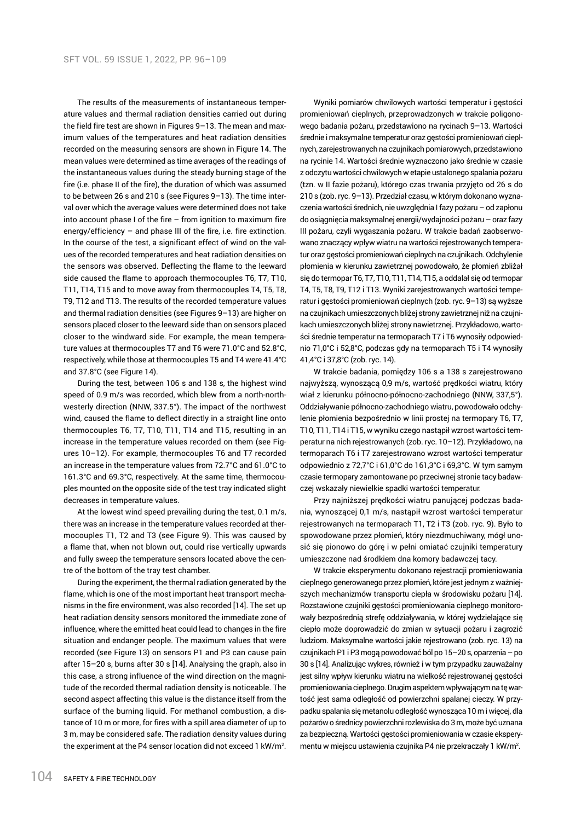The results of the measurements of instantaneous temperature values and thermal radiation densities carried out during the field fire test are shown in Figures 9–13. The mean and maximum values of the temperatures and heat radiation densities recorded on the measuring sensors are shown in Figure 14. The mean values were determined as time averages of the readings of the instantaneous values during the steady burning stage of the fire (i.e. phase II of the fire), the duration of which was assumed to be between 26 s and 210 s (see Figures 9–13). The time interval over which the average values were determined does not take into account phase I of the fire – from ignition to maximum fire energy/efficiency – and phase III of the fire, i.e. fire extinction. In the course of the test, a significant effect of wind on the values of the recorded temperatures and heat radiation densities on the sensors was observed. Deflecting the flame to the leeward side caused the flame to approach thermocouples T6, T7, T10, T11, T14, T15 and to move away from thermocouples T4, T5, T8, T9, T12 and T13. The results of the recorded temperature values and thermal radiation densities (see Figures 9–13) are higher on sensors placed closer to the leeward side than on sensors placed closer to the windward side. For example, the mean temperature values at thermocouples T7 and T6 were 71.0°C and 52.8°C, respectively, while those at thermocouples T5 and T4 were 41.4°C and 37.8°C (see Figure 14).

During the test, between 106 s and 138 s, the highest wind speed of 0.9 m/s was recorded, which blew from a north-northwesterly direction (NNW, 337.5°). The impact of the northwest wind, caused the flame to deflect directly in a straight line onto thermocouples T6, T7, T10, T11, T14 and T15, resulting in an increase in the temperature values recorded on them (see Figures 10–12). For example, thermocouples T6 and T7 recorded an increase in the temperature values from 72.7°C and 61.0°C to 161.3°C and 69.3°C, respectively. At the same time, thermocouples mounted on the opposite side of the test tray indicated slight decreases in temperature values.

At the lowest wind speed prevailing during the test, 0.1 m/s, there was an increase in the temperature values recorded at thermocouples T1, T2 and T3 (see Figure 9). This was caused by a flame that, when not blown out, could rise vertically upwards and fully sweep the temperature sensors located above the centre of the bottom of the tray test chamber.

During the experiment, the thermal radiation generated by the flame, which is one of the most important heat transport mechanisms in the fire environment, was also recorded [14]. The set up heat radiation density sensors monitored the immediate zone of influence, where the emitted heat could lead to changes in the fire situation and endanger people. The maximum values that were recorded (see Figure 13) on sensors P1 and P3 can cause pain after 15–20 s, burns after 30 s [14]. Analysing the graph, also in this case, a strong influence of the wind direction on the magnitude of the recorded thermal radiation density is noticeable. The second aspect affecting this value is the distance itself from the surface of the burning liquid. For methanol combustion, a distance of 10 m or more, for fires with a spill area diameter of up to 3 m, may be considered safe. The radiation density values during the experiment at the P4 sensor location did not exceed 1 kW/m<sup>2</sup> .

Wyniki pomiarów chwilowych wartości temperatur i gęstości promieniowań cieplnych, przeprowadzonych w trakcie poligonowego badania pożaru, przedstawiono na rycinach 9–13. Wartości średnie i maksymalne temperatur oraz gęstości promieniowań cieplnych, zarejestrowanych na czujnikach pomiarowych, przedstawiono na rycinie 14. Wartości średnie wyznaczono jako średnie w czasie z odczytu wartości chwilowych w etapie ustalonego spalania pożaru (tzn. w II fazie pożaru), którego czas trwania przyjęto od 26 s do 210 s (zob. ryc. 9–13). Przedział czasu, w którym dokonano wyznaczenia wartości średnich, nie uwzględnia Ifazy pożaru – od zapłonu do osiągnięcia maksymalnej energii/wydajności pożaru – oraz fazy III pożaru, czyli wygaszania pożaru. W trakcie badań zaobserwowano znaczący wpływ wiatru na wartości rejestrowanych temperatur oraz gęstości promieniowań cieplnych na czujnikach. Odchylenie płomienia w kierunku zawietrznej powodowało, że płomień zbliżał się do termopar T6, T7, T10, T11, T14, T15, a oddalał się od termopar T4, T5, T8, T9, T12 i T13. Wyniki zarejestrowanych wartości temperatur i gęstości promieniowań cieplnych (zob. ryc. 9–13) są wyższe na czujnikach umieszczonych bliżej strony zawietrznej niż na czujnikach umieszczonych bliżej strony nawietrznej. Przykładowo, wartości średnie temperatur na termoparach T7 i T6 wynosiły odpowiednio 71,0°C i 52,8°C, podczas gdy na termoparach T5 i T4 wynosiły 41,4°C i 37,8°C (zob. ryc. 14).

W trakcie badania, pomiędzy 106 s a 138 s zarejestrowano najwyższą, wynoszącą 0,9 m/s, wartość prędkości wiatru, który wiał z kierunku północno-północno-zachodniego (NNW, 337,5°). Oddziaływanie północno-zachodniego wiatru, powodowało odchylenie płomienia bezpośrednio w linii prostej na termopary T6, T7, T10, T11, T14 i T15, w wyniku czego nastąpił wzrost wartości temperatur na nich rejestrowanych (zob. ryc. 10–12). Przykładowo, na termoparach T6 i T7 zarejestrowano wzrost wartości temperatur odpowiednio z 72,7°C i 61,0°C do 161,3°C i 69,3°C. W tym samym czasie termopary zamontowane po przeciwnej stronie tacy badawczej wskazały niewielkie spadki wartości temperatur.

Przy najniższej prędkości wiatru panującej podczas badania, wynoszącej 0,1 m/s, nastąpił wzrost wartości temperatur rejestrowanych na termoparach T1, T2 i T3 (zob. ryc. 9). Było to spowodowane przez płomień, który niezdmuchiwany, mógł unosić się pionowo do górę i w pełni omiatać czujniki temperatury umieszczone nad środkiem dna komory badawczej tacy.

W trakcie eksperymentu dokonano rejestracji promieniowania cieplnego generowanego przez płomień, które jest jednym z ważniejszych mechanizmów transportu ciepła w środowisku pożaru [14]. Rozstawione czujniki gęstości promieniowania cieplnego monitorowały bezpośrednią strefę oddziaływania, w której wydzielające się ciepło może doprowadzić do zmian w sytuacji pożaru i zagrozić ludziom. Maksymalne wartości jakie rejestrowano (zob. ryc. 13) na czujnikach P1 iP3 mogą powodować ból po 15–20 s, oparzenia – po 30 s [14]. Analizując wykres, również i w tym przypadku zauważalny jest silny wpływ kierunku wiatru na wielkość rejestrowanej gęstości promieniowania cieplnego. Drugim aspektem wpływającym na tę wartość jest sama odległość od powierzchni spalanej cieczy. W przypadku spalania się metanolu odległość wynosząca 10 m i więcej, dla pożarów o średnicy powierzchni rozlewiska do 3 m, może być uznana za bezpieczna. Wartości gęstości promieniowania w czasie eksperymentu w miejscu ustawienia czujnika P4 nie przekraczały 1 kW/m<sup>2</sup>.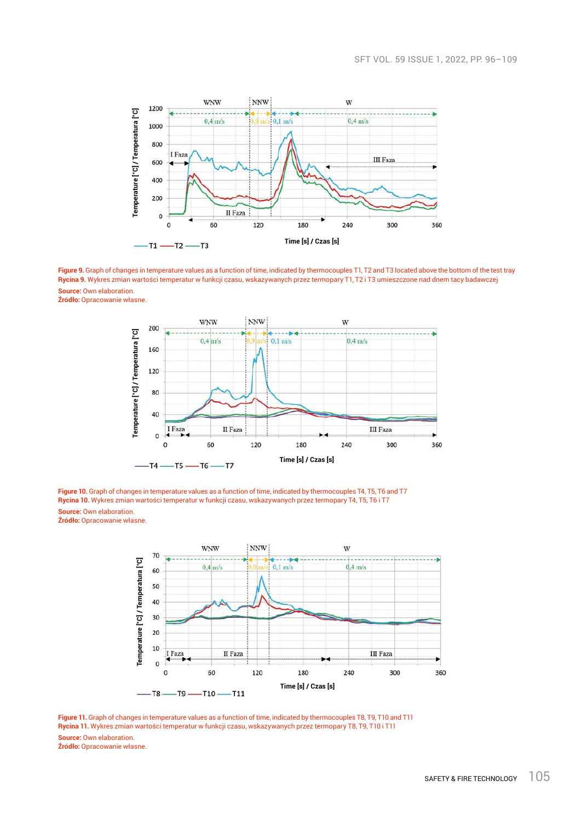

**Figure 9.** Graph of changes in temperature values as a function of time, indicated by thermocouples T1, T2 and T3 located above the bottom of the test tray **Rycina 9.** Wykres zmian wartości temperatur w funkcji czasu, wskazywanych przez termopary T1, T2 i T3 umieszczone nad dnem tacy badawczej **Source:** Own elaboration.

**Źródło:** Opracowanie własne.



**Figure 10.** Graph of changes in temperature values as a function of time, indicated by thermocouples T4, T5, T6 and T7 **Rycina 10.** Wykres zmian wartości temperatur w funkcji czasu, wskazywanych przez termopary T4, T5, T6 i T7 **Source: Own elaboration.** 

**Źródło:** Opracowanie własne.



**Figure 11.** Graph of changes in temperature values as a function of time, indicated by thermocouples T8, T9, T10 and T11 **Rycina 11.** Wykres zmian wartości temperatur w funkcji czasu, wskazywanych przez termopary T8, T9, T10 i T11 **Source: Own elaboration. Źródło:** Opracowanie własne.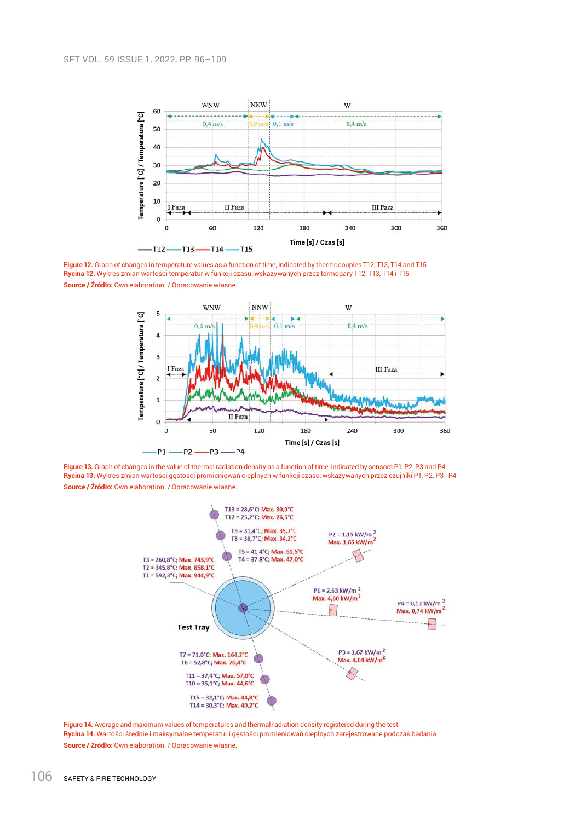

**Figure 12.** Graph of changes in temperature values as a function of time, indicated by thermocouples T12, T13, T14 and T15 **Rycina 12.** Wykres zmian wartości temperatur w funkcji czasu, wskazywanych przez termopary T12, T13, T14 i T15 **Source / Źródło:** Own elaboration. / Opracowanie własne.



**Figure 13.** Graph of changes in the value of thermal radiation density as a function of time, indicated by sensors P1, P2, P3 and P4 **Rycina 13.** Wykres zmian wartości gęstości promieniowań cieplnych w funkcji czasu, wskazywanych przez czujniki P1, P2, P3 i P4 **Source / Źródło:** Own elaboration. / Opracowanie własne.



**Figure 14.** Average and maximum values of temperatures and thermal radiation density registered during the test **Rycina 14.** Wartości średnie i maksymalne temperatur i gęstości promieniowań cieplnych zarejestrowane podczas badania **Source / Źródło:** Own elaboration. / Opracowanie własne.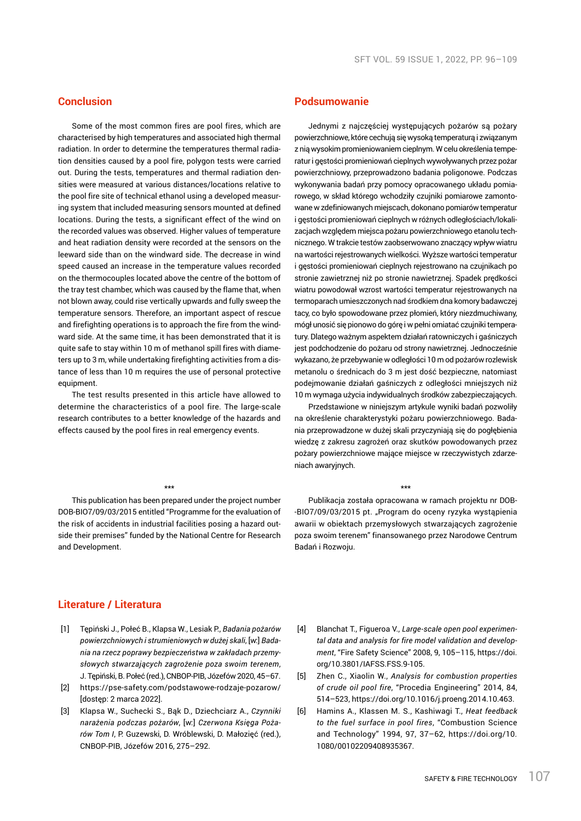# **Conclusion**

Some of the most common fires are pool fires, which are characterised by high temperatures and associated high thermal radiation. In order to determine the temperatures thermal radiation densities caused by a pool fire, polygon tests were carried out. During the tests, temperatures and thermal radiation densities were measured at various distances/locations relative to the pool fire site of technical ethanol using a developed measuring system that included measuring sensors mounted at defined locations. During the tests, a significant effect of the wind on the recorded values was observed. Higher values of temperature and heat radiation density were recorded at the sensors on the leeward side than on the windward side. The decrease in wind speed caused an increase in the temperature values recorded on the thermocouples located above the centre of the bottom of the tray test chamber, which was caused by the flame that, when not blown away, could rise vertically upwards and fully sweep the temperature sensors. Therefore, an important aspect of rescue and firefighting operations is to approach the fire from the windward side. At the same time, it has been demonstrated that it is quite safe to stay within 10 m of methanol spill fires with diameters up to 3 m, while undertaking firefighting activities from a distance of less than 10 m requires the use of personal protective equipment.

The test results presented in this article have allowed to determine the characteristics of a pool fire. The large-scale research contributes to a better knowledge of the hazards and effects caused by the pool fires in real emergency events.

### \*\*\*

This publication has been prepared under the project number DOB-BIO7/09/03/2015 entitled "Programme for the evaluation of the risk of accidents in industrial facilities posing a hazard outside their premises" funded by the National Centre for Research and Development.

## **Podsumowanie**

Jednymi z najczęściej występujących pożarów są pożary powierzchniowe, które cechują się wysoką temperaturą i związanym z nią wysokim promieniowaniem cieplnym. Wcelu określenia temperatur i gęstości promieniowań cieplnych wywoływanych przez pożar powierzchniowy, przeprowadzono badania poligonowe. Podczas wykonywania badań przy pomocy opracowanego układu pomiarowego, w skład którego wchodziły czujniki pomiarowe zamontowane w zdefiniowanych miejscach, dokonano pomiarów temperatur i gęstości promieniowań cieplnych w różnych odległościach/lokalizacjach względem miejsca pożaru powierzchniowego etanolu technicznego. W trakcie testów zaobserwowano znaczący wpływ wiatru na wartości rejestrowanych wielkości. Wyższe wartości temperatur i gęstości promieniowań cieplnych rejestrowano na czujnikach po stronie zawietrznej niż po stronie nawietrznej. Spadek prędkości wiatru powodował wzrost wartości temperatur rejestrowanych na termoparach umieszczonych nad środkiem dna komory badawczej tacy, co było spowodowane przez płomień, który niezdmuchiwany, mógł unosić się pionowo do górę i w pełni omiatać czujniki temperatury. Dlatego ważnym aspektem działań ratowniczych i gaśniczych jest podchodzenie do pożaru od strony nawietrznej. Jednocześnie wykazano, że przebywanie w odległości 10 m od pożarów rozlewisk metanolu o średnicach do 3 m jest dość bezpieczne, natomiast podejmowanie działań gaśniczych z odległości mniejszych niż 10 m wymaga użycia indywidualnych środków zabezpieczających.

Przedstawione w niniejszym artykule wyniki badań pozwoliły na określenie charakterystyki pożaru powierzchniowego. Badania przeprowadzone w dużej skali przyczyniają się do pogłębienia wiedzę z zakresu zagrożeń oraz skutków powodowanych przez pożary powierzchniowe mające miejsce w rzeczywistych zdarzeniach awaryjnych.

#### \*\*\*

Publikacja została opracowana w ramach projektu nr DOB- -BIO7/09/03/2015 pt. "Program do oceny ryzyka wystąpienia awarii w obiektach przemysłowych stwarzających zagrożenie poza swoim terenem" finansowanego przez Narodowe Centrum Badań i Rozwoju.

# **Literature / Literatura**

- [1] Tępiński J., Połeć B., Klapsa W., Lesiak P., *Badania pożarów powierzchniowych i strumieniowych w dużej skali*, [w:] *Badania na rzecz poprawy bezpieczeństwa w zakładach przemysłowych stwarzających zagrożenie poza swoim terenem*, J. Tępiński, B. Połeć (red.), CNBOP-PIB, Józefów 2020, 45–67.
- [2] https://pse-safety.com/podstawowe-rodzaje-pozarow/ [dostęp: 2 marca 2022].
- [3] Klapsa W., Suchecki S., Bąk D., Dziechciarz A., *Czynniki narażenia podczas pożarów*, [w:] *Czerwona Księga Pożarów Tom I*, P. Guzewski, D. Wróblewski, D. Małozięć (red.), CNBOP-PIB, Józefów 2016, 275–292.
- [4] Blanchat T., Figueroa V., *Large-scale open pool experimental data and analysis for fire model validation and development*, "Fire Safety Science" 2008, 9, 105–115, https://doi. org/10.3801/IAFSS.FSS.9-105.
- [5] Zhen C., Xiaolin W., *Analysis for combustion properties of crude oil pool fire*, "Procedia Engineering" 2014, 84, 514–523, https://doi.org/10.1016/j.proeng.2014.10.463.
- [6] Hamins A., Klassen M. S., Kashiwagi T., *Heat feedback to the fuel surface in pool fires*, "Combustion Science and Technology" 1994, 97, 37–62, https://doi.org/10. 1080/00102209408935367.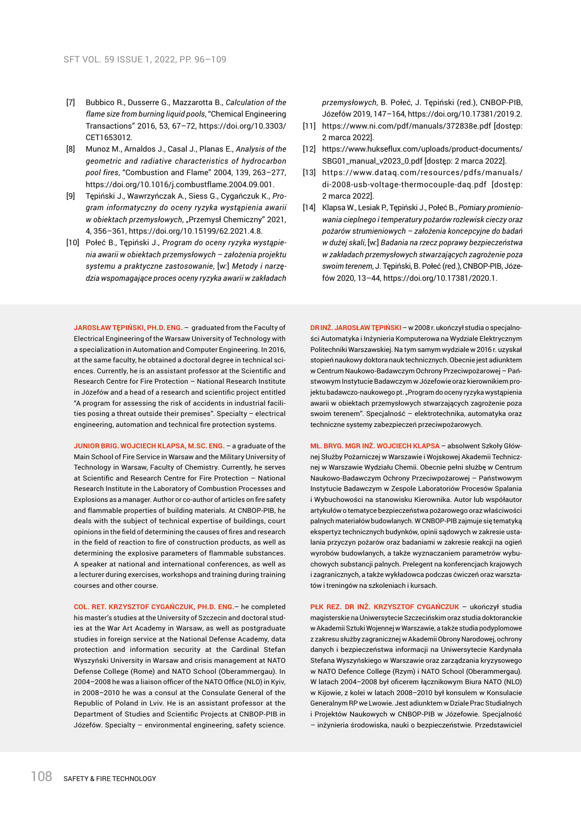- [7] Bubbico R., Dusserre G., Mazzarotta B., *Calculation of the flame size from burning liquid pools*, "Chemical Engineering Transactions" 2016, 53, 67–72, https://doi.org/10.3303/ CET1653012.
- [8] Munoz M., Arnaldos J., Casal J., Planas E., *Analysis of the geometric and radiative characteristics of hydrocarbon pool fires*, "Combustion and Flame" 2004, 139, 263–277, https://doi.org/10.1016/j.combustflame.2004.09.001.
- [9] Tępiński J., Wawrzyńczak A., Siess G., Cygańczuk K., *Program informatyczny do oceny ryzyka wystąpienia awarii*  w obiektach przemysłowych, "Przemysł Chemiczny" 2021, 4, 356–361, https://doi.org/10.15199/62.2021.4.8.
- [10] Połeć B., Tępiński J., *Program do oceny ryzyka wystąpienia awarii w obiektach przemysłowych – założenia projektu systemu a praktyczne zastosowanie*, [w:] *Metody i narzędzia wspomagające proces oceny ryzyka awarii w zakładach*

**JAROSŁAW TĘPIŃSKI, PH.D. ENG.** – graduated from the Faculty of Electrical Engineering of the Warsaw University of Technology with a specialization in Automation and Computer Engineering. In 2016, at the same faculty, he obtained a doctoral degree in technical sciences. Currently, he is an assistant professor at the Scientific and Research Centre for Fire Protection – National Research Institute in Józefów and a head of a research and scientific project entitled "A program for assessing the risk of accidents in industrial facilities posing a threat outside their premises". Specialty – electrical engineering, automation and technical fire protection systems.

**JUNIOR BRIG. WOJCIECH KLAPSA, M.SC. ENG.** – a graduate of the Main School of Fire Service in Warsaw and the Military University of Technology in Warsaw, Faculty of Chemistry. Currently, he serves at Scientific and Research Centre for Fire Protection – National Research Institute in the Laboratory of Combustion Processes and Explosions as a manager. Author or co-author of articles on fire safety and flammable properties of building materials. At CNBOP-PIB, he deals with the subject of technical expertise of buildings, court opinions in the field of determining the causes of fires and research in the field of reaction to fire of construction products, as well as determining the explosive parameters of flammable substances. A speaker at national and international conferences, as well as a lecturer during exercises, workshops and training during training courses and other course.

**COL. RET. KRZYSZTOF CYGAŃCZUK, PH.D. ENG.**– he completed his master's studies at the University of Szczecin and doctoral studies at the War Art Academy in Warsaw, as well as postgraduate studies in foreign service at the National Defense Academy, data protection and information security at the Cardinal Stefan Wyszyński University in Warsaw and crisis management at NATO Defense College (Rome) and NATO School (Oberammergau). In 2004–2008 he was a liaison officer of the NATO Office (NLO) in Kyiv, in 2008–2010 he was a consul at the Consulate General of the Republic of Poland in Lviv. He is an assistant professor at the Department of Studies and Scientific Projects at CNBOP-PIB in Józefów. Specialty – environmental engineering, safety science. *przemysłowych*, B. Połeć, J. Tępiński (red.), CNBOP-PIB, Józefów 2019, 147–164, https://doi.org/10.17381/2019.2.

- [11] https://www.ni.com/pdf/manuals/372838e.pdf [dostep: 2 marca 2022].
- [12] https://www.hukseflux.com/uploads/product-documents/ SBG01\_manual\_v2023\_0.pdf [dostęp: 2 marca 2022].
- [13] https://www.dataq.com/resources/pdfs/manuals/ di-2008-usb-voltage-thermocouple-daq.pdf [dostęp: 2 marca 2022].
- [14] Klapsa W., Lesiak P., Tępiński J., Połeć B., *Pomiary promieniowania cieplnego i temperatury pożarów rozlewisk cieczy oraz pożarów strumieniowych – założenia koncepcyjne do badań w dużej skali*, [w:] *Badania na rzecz poprawy bezpieczeństwa w zakładach przemysłowych stwarzających zagrożenie poza swoim terenem*, J. Tępiński, B. Połeć (red.), CNBOP-PIB, Józefów 2020, 13–44, https://doi.org/10.17381/2020.1.

**DR INŻ. JAROSŁAW TĘPIŃSKI** – w 2008 r. ukończył studia o specjalności Automatyka i Inżynieria Komputerowa na Wydziale Elektrycznym Politechniki Warszawskiej. Na tym samym wydziale w 2016 r. uzyskał stopień naukowy doktora nauk technicznych. Obecnie jest adiunktem w Centrum Naukowo-Badawczym Ochrony Przeciwpożarowej – Państwowym Instytucie Badawczym w Józefowie oraz kierownikiem projektu badawczo-naukowego pt. "Program do oceny ryzyka wystąpienia awarii w obiektach przemysłowych stwarzających zagrożenie poza swoim terenem". Specjalność – elektrotechnika, automatyka oraz techniczne systemy zabezpieczeń przeciwpożarowych.

**MŁ. BRYG. MGR INŻ. WOJCIECH KLAPSA** – absolwent Szkoły Głównej Służby Pożarniczej w Warszawie i Wojskowej Akademii Technicznej w Warszawie Wydziału Chemii. Obecnie pełni służbę w Centrum Naukowo-Badawczym Ochrony Przeciwpożarowej – Państwowym Instytucie Badawczym w Zespole Laboratoriów Procesów Spalania i Wybuchowości na stanowisku Kierownika. Autor lub współautor artykułów o tematyce bezpieczeństwa pożarowego oraz właściwości palnych materiałów budowlanych. W CNBOP-PIB zajmuje się tematyką ekspertyz technicznych budynków, opinii sądowych w zakresie ustalania przyczyn pożarów oraz badaniami w zakresie reakcji na ogień wyrobów budowlanych, a także wyznaczaniem parametrów wybuchowych substancji palnych. Prelegent na konferencjach krajowych i zagranicznych, a także wykładowca podczas ćwiczeń oraz warsztatów i treningów na szkoleniach i kursach.

**PŁK REZ. DR INŻ. KRZYSZTOF CYGAŃCZUK** – ukończył studia magisterskie na Uniwersytecie Szczecińskim oraz studia doktoranckie w Akademii Sztuki Wojennej w Warszawie, a także studia podyplomowe z zakresu służby zagranicznej w Akademii Obrony Narodowej, ochrony danych i bezpieczeństwa informacji na Uniwersytecie Kardynała Stefana Wyszyńskiego w Warszawie oraz zarządzania kryzysowego w NATO Defence College (Rzym) i NATO School (Oberammergau). W latach 2004–2008 był oficerem łącznikowym Biura NATO (NLO) w Kijowie, z kolei w latach 2008–2010 był konsulem w Konsulacie Generalnym RP we Lwowie. Jest adiunktem w Dziale Prac Studialnych i Projektów Naukowych w CNBOP-PIB w Józefowie. Specjalność – inżynieria środowiska, nauki o bezpieczeństwie. Przedstawiciel